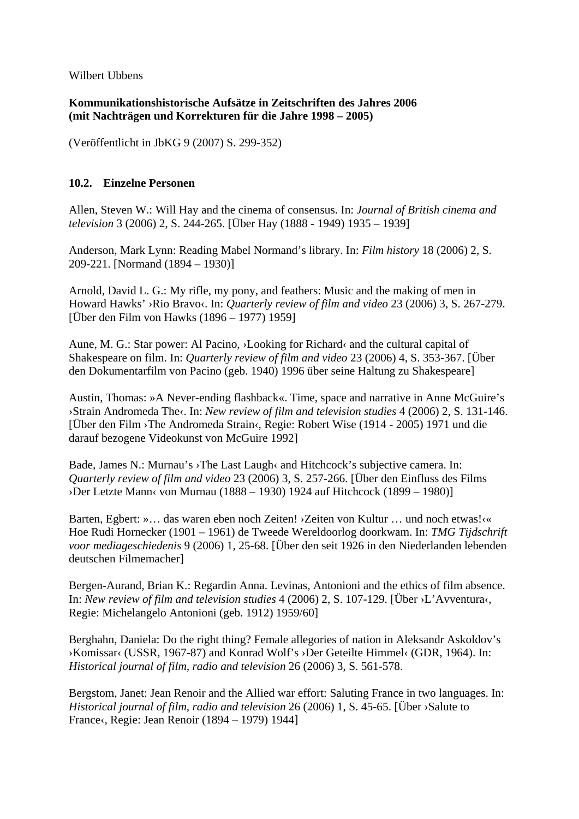Wilbert Ubbens

## **Kommunikationshistorische Aufsätze in Zeitschriften des Jahres 2006 (mit Nachträgen und Korrekturen für die Jahre 1998 – 2005)**

(Veröffentlicht in JbKG 9 (2007) S. 299-352)

## **10.2. Einzelne Personen**

Allen, Steven W.: Will Hay and the cinema of consensus. In: *Journal of British cinema and television* 3 (2006) 2, S. 244-265. [Über Hay (1888 - 1949) 1935 – 1939]

Anderson, Mark Lynn: Reading Mabel Normand's library. In: *Film history* 18 (2006) 2, S. 209-221. [Normand (1894 – 1930)]

Arnold, David L. G.: My rifle, my pony, and feathers: Music and the making of men in Howard Hawks' ›Rio Bravo‹. In: *Quarterly review of film and video* 23 (2006) 3, S. 267-279. [Über den Film von Hawks (1896 – 1977) 1959]

Aune, M. G.: Star power: Al Pacino, ›Looking for Richard‹ and the cultural capital of Shakespeare on film. In: *Quarterly review of film and video* 23 (2006) 4, S. 353-367. [Über den Dokumentarfilm von Pacino (geb. 1940) 1996 über seine Haltung zu Shakespeare]

Austin, Thomas: »A Never-ending flashback«. Time, space and narrative in Anne McGuire's ›Strain Andromeda The‹. In: *New review of film and television studies* 4 (2006) 2, S. 131-146. [Über den Film ›The Andromeda Strain‹, Regie: Robert Wise (1914 - 2005) 1971 und die darauf bezogene Videokunst von McGuire 1992]

Bade, James N.: Murnau's ›The Last Laugh‹ and Hitchcock's subjective camera. In: *Quarterly review of film and video* 23 (2006) 3, S. 257-266. [Über den Einfluss des Films ›Der Letzte Mann‹ von Murnau (1888 – 1930) 1924 auf Hitchcock (1899 – 1980)]

Barten, Egbert: »… das waren eben noch Zeiten! ›Zeiten von Kultur … und noch etwas!‹« Hoe Rudi Hornecker (1901 – 1961) de Tweede Wereldoorlog doorkwam. In: *TMG Tijdschrift voor mediageschiedenis* 9 (2006) 1, 25-68. [Über den seit 1926 in den Niederlanden lebenden deutschen Filmemacher]

Bergen-Aurand, Brian K.: Regardin Anna. Levinas, Antonioni and the ethics of film absence. In: *New review of film and television studies* 4 (2006) 2, S. 107-129. [Über ›L'Avventura‹, Regie: Michelangelo Antonioni (geb. 1912) 1959/60]

Berghahn, Daniela: Do the right thing? Female allegories of nation in Aleksandr Askoldov's ›Komissar‹ (USSR, 1967-87) and Konrad Wolf's ›Der Geteilte Himmel‹ (GDR, 1964). In: *Historical journal of film, radio and television* 26 (2006) 3, S. 561-578.

Bergstom, Janet: Jean Renoir and the Allied war effort: Saluting France in two languages. In: *Historical journal of film, radio and television* 26 (2006) 1, S. 45-65. [Über ›Salute to France‹, Regie: Jean Renoir (1894 – 1979) 1944]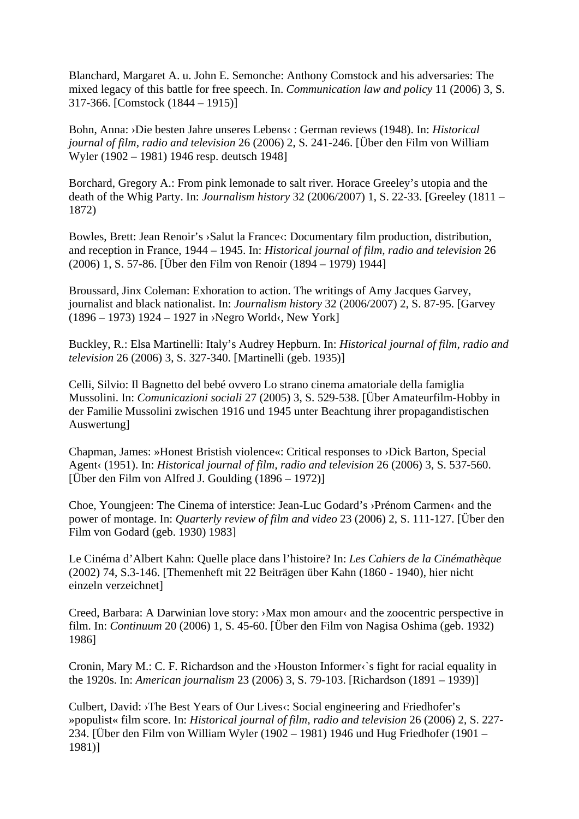Blanchard, Margaret A. u. John E. Semonche: Anthony Comstock and his adversaries: The mixed legacy of this battle for free speech. In. *Communication law and policy* 11 (2006) 3, S. 317-366. [Comstock (1844 – 1915)]

Bohn, Anna: ›Die besten Jahre unseres Lebens‹ : German reviews (1948). In: *Historical journal of film, radio and television* 26 (2006) 2, S. 241-246. [Über den Film von William Wyler (1902 – 1981) 1946 resp. deutsch 1948]

Borchard, Gregory A.: From pink lemonade to salt river. Horace Greeley's utopia and the death of the Whig Party. In: *Journalism history* 32 (2006/2007) 1, S. 22-33. [Greeley (1811 – 1872)

Bowles, Brett: Jean Renoir's ›Salut la France‹: Documentary film production, distribution, and reception in France, 1944 – 1945. In: *Historical journal of film, radio and television* 26 (2006) 1, S. 57-86. [Über den Film von Renoir (1894 – 1979) 1944]

Broussard, Jinx Coleman: Exhoration to action. The writings of Amy Jacques Garvey, journalist and black nationalist. In: *Journalism history* 32 (2006/2007) 2, S. 87-95. [Garvey (1896 – 1973) 1924 – 1927 in ›Negro World‹, New York]

Buckley, R.: Elsa Martinelli: Italy's Audrey Hepburn. In: *Historical journal of film, radio and television* 26 (2006) 3, S. 327-340. [Martinelli (geb. 1935)]

Celli, Silvio: Il Bagnetto del bebé ovvero Lo strano cinema amatoriale della famiglia Mussolini. In: *Comunicazioni sociali* 27 (2005) 3, S. 529-538. [Über Amateurfilm-Hobby in der Familie Mussolini zwischen 1916 und 1945 unter Beachtung ihrer propagandistischen Auswertung]

Chapman, James: »Honest Bristish violence«: Critical responses to ›Dick Barton, Special Agent‹ (1951). In: *Historical journal of film, radio and television* 26 (2006) 3, S. 537-560. [Über den Film von Alfred J. Goulding  $(1896 - 1972)$ ]

Choe, Youngjeen: The Cinema of interstice: Jean-Luc Godard's ›Prénom Carmen‹ and the power of montage. In: *Quarterly review of film and video* 23 (2006) 2, S. 111-127. [Über den Film von Godard (geb. 1930) 1983]

Le Cinéma d'Albert Kahn: Quelle place dans l'histoire? In: *Les Cahiers de la Cinémathèque* (2002) 74, S.3-146. [Themenheft mit 22 Beiträgen über Kahn (1860 - 1940), hier nicht einzeln verzeichnet]

Creed, Barbara: A Darwinian love story: ›Max mon amour‹ and the zoocentric perspective in film. In: *Continuum* 20 (2006) 1, S. 45-60. [Über den Film von Nagisa Oshima (geb. 1932) 1986]

Cronin, Mary M.: C. F. Richardson and the >Houston Informer  $\delta$  is fight for racial equality in the 1920s. In: *American journalism* 23 (2006) 3, S. 79-103. [Richardson (1891 – 1939)]

Culbert, David: >The Best Years of Our Lives<: Social engineering and Friedhofer's »populist« film score. In: *Historical journal of film, radio and television* 26 (2006) 2, S. 227- 234. [Über den Film von William Wyler (1902 – 1981) 1946 und Hug Friedhofer (1901 – 1981)]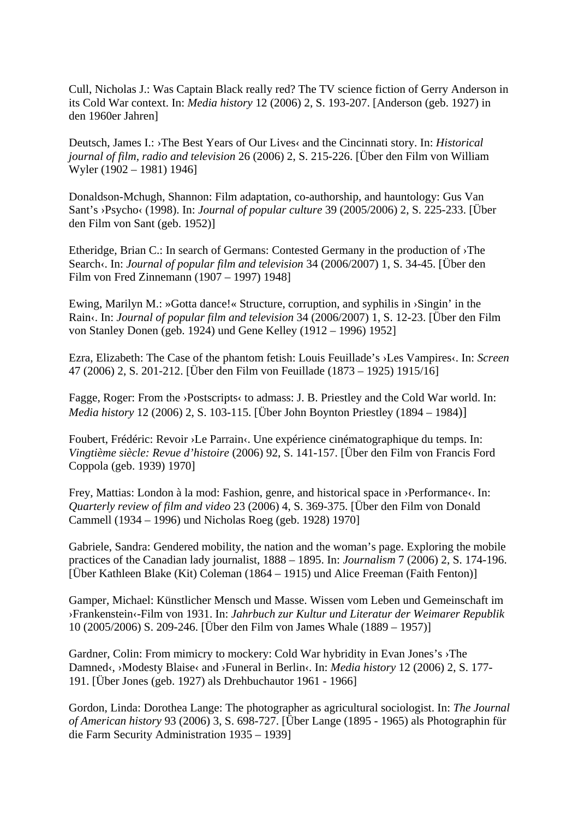Cull, Nicholas J.: Was Captain Black really red? The TV science fiction of Gerry Anderson in its Cold War context. In: *Media history* 12 (2006) 2, S. 193-207. [Anderson (geb. 1927) in den 1960er Jahren]

Deutsch, James I.: ›The Best Years of Our Lives‹ and the Cincinnati story. In: *Historical journal of film, radio and television* 26 (2006) 2, S. 215-226. [Über den Film von William Wyler (1902 – 1981) 1946]

Donaldson-Mchugh, Shannon: Film adaptation, co-authorship, and hauntology: Gus Van Sant's ›Psycho‹ (1998). In: *Journal of popular culture* 39 (2005/2006) 2, S. 225-233. [Über den Film von Sant (geb. 1952)]

Etheridge, Brian C.: In search of Germans: Contested Germany in the production of ›The Search‹. In: *Journal of popular film and television* 34 (2006/2007) 1, S. 34-45. [Über den Film von Fred Zinnemann (1907 – 1997) 1948]

Ewing, Marilyn M.: »Gotta dance!« Structure, corruption, and syphilis in ›Singin' in the Rain‹. In: *Journal of popular film and television* 34 (2006/2007) 1, S. 12-23. [Über den Film von Stanley Donen (geb. 1924) und Gene Kelley (1912 – 1996) 1952]

Ezra, Elizabeth: The Case of the phantom fetish: Louis Feuillade's ›Les Vampires‹. In: *Screen* 47 (2006) 2, S. 201-212. [Über den Film von Feuillade (1873 – 1925) 1915/16]

Fagge, Roger: From the >Postscripts< to admass: J. B. Priestley and the Cold War world. In: *Media history* 12 (2006) 2, S. 103-115. [Über John Boynton Priestley (1894 – 1984)]

Foubert, Frédéric: Revoir ›Le Parrain‹. Une expérience cinématographique du temps. In: *Vingtième siècle: Revue d'histoire* (2006) 92, S. 141-157. [Über den Film von Francis Ford Coppola (geb. 1939) 1970]

Frey, Mattias: London à la mod: Fashion, genre, and historical space in ›Performance‹. In: *Quarterly review of film and video* 23 (2006) 4, S. 369-375. [Über den Film von Donald Cammell (1934 – 1996) und Nicholas Roeg (geb. 1928) 1970]

Gabriele, Sandra: Gendered mobility, the nation and the woman's page. Exploring the mobile practices of the Canadian lady journalist, 1888 – 1895. In: *Journalism* 7 (2006) 2, S. 174-196. [Über Kathleen Blake (Kit) Coleman (1864 – 1915) und Alice Freeman (Faith Fenton)]

Gamper, Michael: Künstlicher Mensch und Masse. Wissen vom Leben und Gemeinschaft im ›Frankenstein‹-Film von 1931. In: *Jahrbuch zur Kultur und Literatur der Weimarer Republik* 10 (2005/2006) S. 209-246. [Über den Film von James Whale (1889 – 1957)]

Gardner, Colin: From mimicry to mockery: Cold War hybridity in Evan Jones's ›The Damned<, >Modesty Blaise< and >Funeral in Berlin<. In: *Media history* 12 (2006) 2, S. 177-191. [Über Jones (geb. 1927) als Drehbuchautor 1961 - 1966]

Gordon, Linda: Dorothea Lange: The photographer as agricultural sociologist. In: *The Journal of American history* 93 (2006) 3, S. 698-727. [Über Lange (1895 - 1965) als Photographin für die Farm Security Administration 1935 – 1939]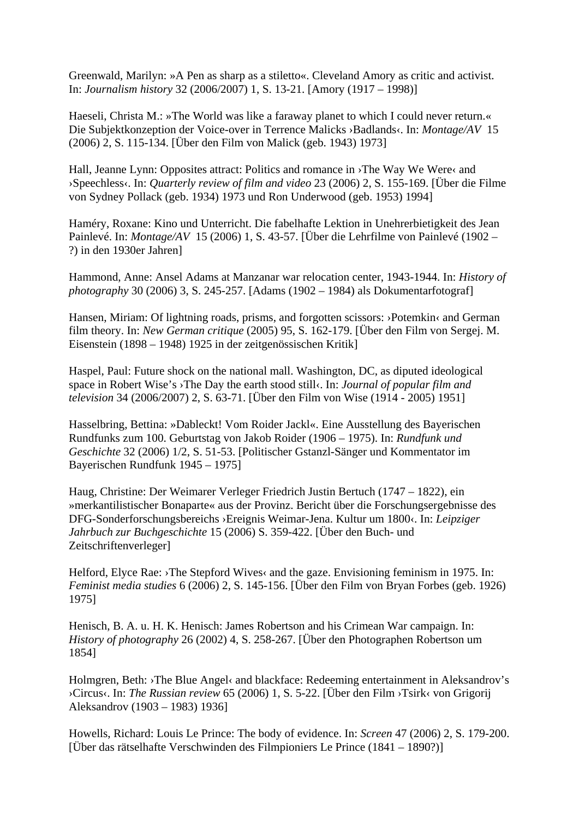Greenwald, Marilyn: »A Pen as sharp as a stiletto«. Cleveland Amory as critic and activist. In: *Journalism history* 32 (2006/2007) 1, S. 13-21. [Amory (1917 – 1998)]

Haeseli, Christa M.: »The World was like a faraway planet to which I could never return.« Die Subjektkonzeption der Voice-over in Terrence Malicks ›Badlands‹. In: *Montage/AV* 15 (2006) 2, S. 115-134. [Über den Film von Malick (geb. 1943) 1973]

Hall, Jeanne Lynn: Opposites attract: Politics and romance in >The Way We Were< and ›Speechless‹. In: *Quarterly review of film and video* 23 (2006) 2, S. 155-169. [Über die Filme von Sydney Pollack (geb. 1934) 1973 und Ron Underwood (geb. 1953) 1994]

Haméry, Roxane: Kino und Unterricht. Die fabelhafte Lektion in Unehrerbietigkeit des Jean Painlevé. In: *Montage/AV* 15 (2006) 1, S. 43-57. [Über die Lehrfilme von Painlevé (1902 – ?) in den 1930er Jahren]

Hammond, Anne: Ansel Adams at Manzanar war relocation center, 1943-1944. In: *History of photography* 30 (2006) 3, S. 245-257. [Adams (1902 – 1984) als Dokumentarfotograf]

Hansen, Miriam: Of lightning roads, prisms, and forgotten scissors: >Potemkin< and German film theory. In: *New German critique* (2005) 95, S. 162-179. [Über den Film von Sergej. M. Eisenstein (1898 – 1948) 1925 in der zeitgenössischen Kritik]

Haspel, Paul: Future shock on the national mall. Washington, DC, as diputed ideological space in Robert Wise's ›The Day the earth stood still‹. In: *Journal of popular film and television* 34 (2006/2007) 2, S. 63-71. [Über den Film von Wise (1914 - 2005) 1951]

Hasselbring, Bettina: »Dableckt! Vom Roider Jackl«. Eine Ausstellung des Bayerischen Rundfunks zum 100. Geburtstag von Jakob Roider (1906 – 1975). In: *Rundfunk und Geschichte* 32 (2006) 1/2, S. 51-53. [Politischer Gstanzl-Sänger und Kommentator im Bayerischen Rundfunk 1945 – 1975]

Haug, Christine: Der Weimarer Verleger Friedrich Justin Bertuch (1747 – 1822), ein »merkantilistischer Bonaparte« aus der Provinz. Bericht über die Forschungsergebnisse des DFG-Sonderforschungsbereichs ›Ereignis Weimar-Jena. Kultur um 1800‹. In: *Leipziger Jahrbuch zur Buchgeschichte* 15 (2006) S. 359-422. [Über den Buch- und Zeitschriftenverleger]

Helford, Elyce Rae: >The Stepford Wives< and the gaze. Envisioning feminism in 1975. In: *Feminist media studies* 6 (2006) 2, S. 145-156. [Über den Film von Bryan Forbes (geb. 1926) 1975]

Henisch, B. A. u. H. K. Henisch: James Robertson and his Crimean War campaign. In: *History of photography* 26 (2002) 4, S. 258-267. [Über den Photographen Robertson um 1854]

Holmgren, Beth: >The Blue Angel< and blackface: Redeeming entertainment in Aleksandrov's ›Circus‹. In: *The Russian review* 65 (2006) 1, S. 5-22. [Über den Film ›Tsirk‹ von Grigorij Aleksandrov (1903 – 1983) 1936]

Howells, Richard: Louis Le Prince: The body of evidence. In: *Screen* 47 (2006) 2, S. 179-200. [Über das rätselhafte Verschwinden des Filmpioniers Le Prince (1841 – 1890?)]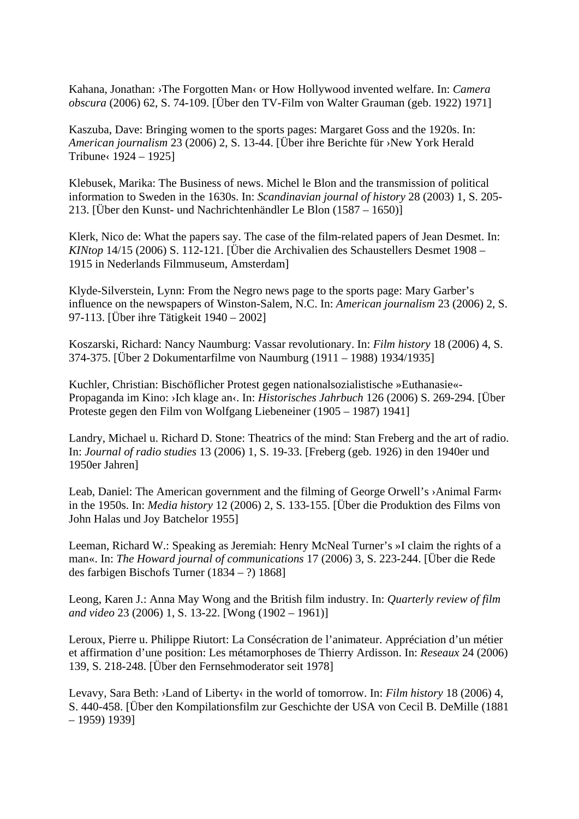Kahana, Jonathan: ›The Forgotten Man‹ or How Hollywood invented welfare. In: *Camera obscura* (2006) 62, S. 74-109. [Über den TV-Film von Walter Grauman (geb. 1922) 1971]

Kaszuba, Dave: Bringing women to the sports pages: Margaret Goss and the 1920s. In: *American journalism* 23 (2006) 2, S. 13-44. [Über ihre Berichte für ›New York Herald Tribune $\left( \frac{1924 - 1925}{\right}$ 

Klebusek, Marika: The Business of news. Michel le Blon and the transmission of political information to Sweden in the 1630s. In: *Scandinavian journal of history* 28 (2003) 1, S. 205- 213. [Über den Kunst- und Nachrichtenhändler Le Blon (1587 – 1650)]

Klerk, Nico de: What the papers say. The case of the film-related papers of Jean Desmet. In: *KINtop* 14/15 (2006) S. 112-121. [Über die Archivalien des Schaustellers Desmet 1908 – 1915 in Nederlands Filmmuseum, Amsterdam]

Klyde-Silverstein, Lynn: From the Negro news page to the sports page: Mary Garber's influence on the newspapers of Winston-Salem, N.C. In: *American journalism* 23 (2006) 2, S. 97-113. [Über ihre Tätigkeit 1940 – 2002]

Koszarski, Richard: Nancy Naumburg: Vassar revolutionary. In: *Film history* 18 (2006) 4, S. 374-375. [Über 2 Dokumentarfilme von Naumburg (1911 – 1988) 1934/1935]

Kuchler, Christian: Bischöflicher Protest gegen nationalsozialistische »Euthanasie«- Propaganda im Kino: ›Ich klage an‹. In: *Historisches Jahrbuch* 126 (2006) S. 269-294. [Über Proteste gegen den Film von Wolfgang Liebeneiner (1905 – 1987) 1941]

Landry, Michael u. Richard D. Stone: Theatrics of the mind: Stan Freberg and the art of radio. In: *Journal of radio studies* 13 (2006) 1, S. 19-33. [Freberg (geb. 1926) in den 1940er und 1950er Jahren]

Leab, Daniel: The American government and the filming of George Orwell's ›Animal Farm‹ in the 1950s. In: *Media history* 12 (2006) 2, S. 133-155. [Über die Produktion des Films von John Halas und Joy Batchelor 1955]

Leeman, Richard W.: Speaking as Jeremiah: Henry McNeal Turner's »I claim the rights of a man«. In: *The Howard journal of communications* 17 (2006) 3, S. 223-244. [Über die Rede des farbigen Bischofs Turner (1834 – ?) 1868]

Leong, Karen J.: Anna May Wong and the British film industry. In: *Quarterly review of film and video* 23 (2006) 1, S. 13-22. [Wong (1902 – 1961)]

Leroux, Pierre u. Philippe Riutort: La Consécration de l'animateur. Appréciation d'un métier et affirmation d'une position: Les métamorphoses de Thierry Ardisson. In: *Reseaux* 24 (2006) 139, S. 218-248. [Über den Fernsehmoderator seit 1978]

Levavy, Sara Beth: ›Land of Liberty‹ in the world of tomorrow. In: *Film history* 18 (2006) 4, S. 440-458. [Über den Kompilationsfilm zur Geschichte der USA von Cecil B. DeMille (1881 – 1959) 1939]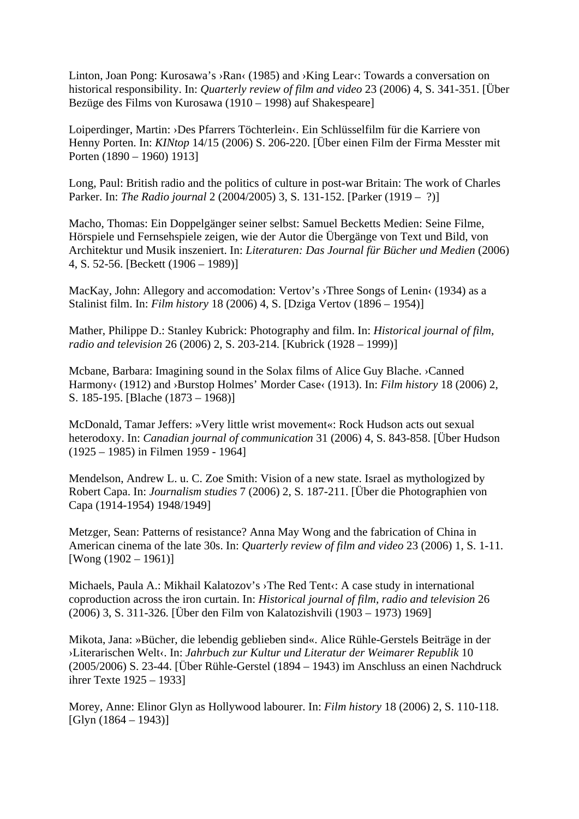Linton, Joan Pong: Kurosawa's >Ran< (1985) and >King Lear<: Towards a conversation on historical responsibility. In: *Quarterly review of film and video* 23 (2006) 4, S. 341-351. [Über Bezüge des Films von Kurosawa (1910 – 1998) auf Shakespeare]

Loiperdinger, Martin: ›Des Pfarrers Töchterlein‹. Ein Schlüsselfilm für die Karriere von Henny Porten. In: *KINtop* 14/15 (2006) S. 206-220. [Über einen Film der Firma Messter mit Porten (1890 – 1960) 1913]

Long, Paul: British radio and the politics of culture in post-war Britain: The work of Charles Parker. In: *The Radio journal* 2 (2004/2005) 3, S. 131-152. [Parker (1919 – ?)]

Macho, Thomas: Ein Doppelgänger seiner selbst: Samuel Becketts Medien: Seine Filme, Hörspiele und Fernsehspiele zeigen, wie der Autor die Übergänge von Text und Bild, von Architektur und Musik inszeniert. In: *Literaturen: Das Journal für Bücher und Medien* (2006) 4, S. 52-56. [Beckett (1906 – 1989)]

MacKay, John: Allegory and accomodation: Vertov's > Three Songs of Lenin < (1934) as a Stalinist film. In: *Film history* 18 (2006) 4, S. [Dziga Vertov (1896 – 1954)]

Mather, Philippe D.: Stanley Kubrick: Photography and film. In: *Historical journal of film, radio and television* 26 (2006) 2, S. 203-214. [Kubrick (1928 – 1999)]

Mcbane, Barbara: Imagining sound in the Solax films of Alice Guy Blache. ›Canned Harmony< (1912) and >Burstop Holmes' Morder Case< (1913). In: *Film history* 18 (2006) 2, S. 185-195. [Blache (1873 – 1968)]

McDonald, Tamar Jeffers: »Very little wrist movement«: Rock Hudson acts out sexual heterodoxy. In: *Canadian journal of communication* 31 (2006) 4, S. 843-858. [Über Hudson (1925 – 1985) in Filmen 1959 - 1964]

Mendelson, Andrew L. u. C. Zoe Smith: Vision of a new state. Israel as mythologized by Robert Capa. In: *Journalism studies* 7 (2006) 2, S. 187-211. [Über die Photographien von Capa (1914-1954) 1948/1949]

Metzger, Sean: Patterns of resistance? Anna May Wong and the fabrication of China in American cinema of the late 30s. In: *Quarterly review of film and video* 23 (2006) 1, S. 1-11. [Wong (1902 – 1961)]

Michaels, Paula A.: Mikhail Kalatozov's > The Red Tent <: A case study in international coproduction across the iron curtain. In: *Historical journal of film, radio and television* 26 (2006) 3, S. 311-326. [Über den Film von Kalatozishvili (1903 – 1973) 1969]

Mikota, Jana: »Bücher, die lebendig geblieben sind«. Alice Rühle-Gerstels Beiträge in der ›Literarischen Welt‹. In: *Jahrbuch zur Kultur und Literatur der Weimarer Republik* 10 (2005/2006) S. 23-44. [Über Rühle-Gerstel (1894 – 1943) im Anschluss an einen Nachdruck ihrer Texte 1925 – 1933]

Morey, Anne: Elinor Glyn as Hollywood labourer. In: *Film history* 18 (2006) 2, S. 110-118.  $[Glyn (1864 – 1943)]$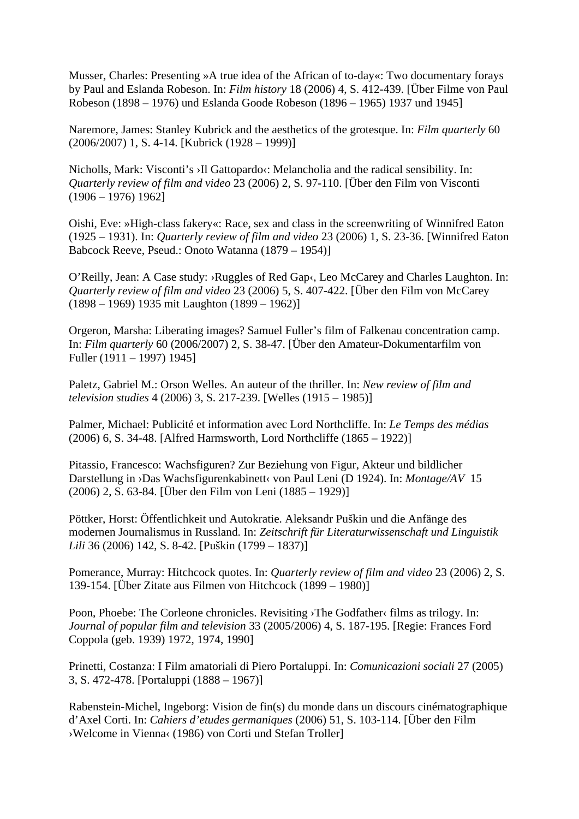Musser, Charles: Presenting »A true idea of the African of to-day«: Two documentary forays by Paul and Eslanda Robeson. In: *Film history* 18 (2006) 4, S. 412-439. [Über Filme von Paul Robeson (1898 – 1976) und Eslanda Goode Robeson (1896 – 1965) 1937 und 1945]

Naremore, James: Stanley Kubrick and the aesthetics of the grotesque. In: *Film quarterly* 60 (2006/2007) 1, S. 4-14. [Kubrick (1928 – 1999)]

Nicholls, Mark: Visconti's >Il Gattopardo<: Melancholia and the radical sensibility. In: *Quarterly review of film and video* 23 (2006) 2, S. 97-110. [Über den Film von Visconti  $(1906 - 1976) 1962]$ 

Oishi, Eve: »High-class fakery«: Race, sex and class in the screenwriting of Winnifred Eaton (1925 – 1931). In: *Quarterly review of film and video* 23 (2006) 1, S. 23-36. [Winnifred Eaton Babcock Reeve, Pseud.: Onoto Watanna (1879 – 1954)]

O'Reilly, Jean: A Case study: ›Ruggles of Red Gap‹, Leo McCarey and Charles Laughton. In: *Quarterly review of film and video* 23 (2006) 5, S. 407-422. [Über den Film von McCarey (1898 – 1969) 1935 mit Laughton (1899 – 1962)]

Orgeron, Marsha: Liberating images? Samuel Fuller's film of Falkenau concentration camp. In: *Film quarterly* 60 (2006/2007) 2, S. 38-47. [Über den Amateur-Dokumentarfilm von Fuller (1911 – 1997) 1945]

Paletz, Gabriel M.: Orson Welles. An auteur of the thriller. In: *New review of film and television studies* 4 (2006) 3, S. 217-239. [Welles (1915 – 1985)]

Palmer, Michael: Publicité et information avec Lord Northcliffe. In: *Le Temps des médias* (2006) 6, S. 34-48. [Alfred Harmsworth, Lord Northcliffe (1865 – 1922)]

Pitassio, Francesco: Wachsfiguren? Zur Beziehung von Figur, Akteur und bildlicher Darstellung in ›Das Wachsfigurenkabinett‹ von Paul Leni (D 1924). In: *Montage/AV* 15 (2006) 2, S. 63-84. [Über den Film von Leni (1885 – 1929)]

Pöttker, Horst: Öffentlichkeit und Autokratie. Aleksandr Puškin und die Anfänge des modernen Journalismus in Russland. In: *Zeitschrift für Literaturwissenschaft und Linguistik Lili* 36 (2006) 142, S. 8-42. [Puškin (1799 – 1837)]

Pomerance, Murray: Hitchcock quotes. In: *Quarterly review of film and video* 23 (2006) 2, S. 139-154. [Über Zitate aus Filmen von Hitchcock (1899 – 1980)]

Poon, Phoebe: The Corleone chronicles. Revisiting ›The Godfather‹ films as trilogy. In: *Journal of popular film and television* 33 (2005/2006) 4, S. 187-195. [Regie: Frances Ford Coppola (geb. 1939) 1972, 1974, 1990]

Prinetti, Costanza: I Film amatoriali di Piero Portaluppi. In: *Comunicazioni sociali* 27 (2005) 3, S. 472-478. [Portaluppi (1888 – 1967)]

Rabenstein-Michel, Ingeborg: Vision de fin(s) du monde dans un discours cinématographique d'Axel Corti. In: *Cahiers d'etudes germaniques* (2006) 51, S. 103-114. [Über den Film ›Welcome in Vienna‹ (1986) von Corti und Stefan Troller]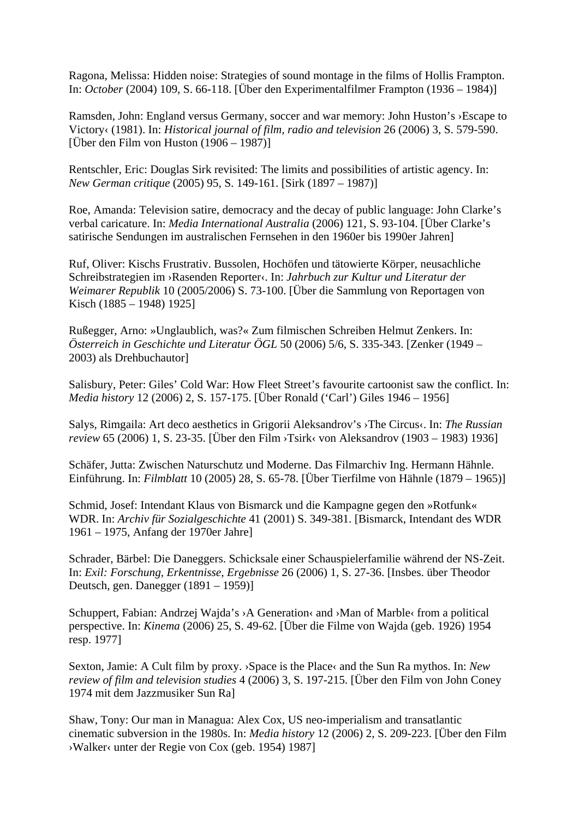Ragona, Melissa: Hidden noise: Strategies of sound montage in the films of Hollis Frampton. In: *October* (2004) 109, S. 66-118. [Über den Experimentalfilmer Frampton (1936 – 1984)]

Ramsden, John: England versus Germany, soccer and war memory: John Huston's ›Escape to Victory‹ (1981). In: *Historical journal of film, radio and television* 26 (2006) 3, S. 579-590. [Über den Film von Huston (1906 – 1987)]

Rentschler, Eric: Douglas Sirk revisited: The limits and possibilities of artistic agency. In: *New German critique* (2005) 95, S. 149-161. [Sirk (1897 – 1987)]

Roe, Amanda: Television satire, democracy and the decay of public language: John Clarke's verbal caricature. In: *Media International Australia* (2006) 121, S. 93-104. [Über Clarke's satirische Sendungen im australischen Fernsehen in den 1960er bis 1990er Jahren]

Ruf, Oliver: Kischs Frustrativ. Bussolen, Hochöfen und tätowierte Körper, neusachliche Schreibstrategien im ›Rasenden Reporter‹. In: *Jahrbuch zur Kultur und Literatur der Weimarer Republik* 10 (2005/2006) S. 73-100. [Über die Sammlung von Reportagen von Kisch (1885 – 1948) 1925]

Rußegger, Arno: »Unglaublich, was?« Zum filmischen Schreiben Helmut Zenkers. In: *Österreich in Geschichte und Literatur ÖGL* 50 (2006) 5/6, S. 335-343. [Zenker (1949 – 2003) als Drehbuchautor]

Salisbury, Peter: Giles' Cold War: How Fleet Street's favourite cartoonist saw the conflict. In: *Media history* 12 (2006) 2, S. 157-175. [Über Ronald ('Carl') Giles 1946 – 1956]

Salys, Rimgaila: Art deco aesthetics in Grigorii Aleksandrov's > The Circus <. In: *The Russian review* 65 (2006) 1, S. 23-35. [Über den Film ›Tsirk‹ von Aleksandrov (1903 – 1983) 1936]

Schäfer, Jutta: Zwischen Naturschutz und Moderne. Das Filmarchiv Ing. Hermann Hähnle. Einführung. In: *Filmblatt* 10 (2005) 28, S. 65-78. [Über Tierfilme von Hähnle (1879 – 1965)]

Schmid, Josef: Intendant Klaus von Bismarck und die Kampagne gegen den »Rotfunk« WDR. In: *Archiv für Sozialgeschichte* 41 (2001) S. 349-381. [Bismarck, Intendant des WDR 1961 – 1975, Anfang der 1970er Jahre]

Schrader, Bärbel: Die Daneggers. Schicksale einer Schauspielerfamilie während der NS-Zeit. In: *Exil: Forschung, Erkentnisse, Ergebnisse* 26 (2006) 1, S. 27-36. [Insbes. über Theodor Deutsch, gen. Danegger (1891 – 1959)]

Schuppert, Fabian: Andrzej Wajda's > A Generation< and > Man of Marble< from a political perspective. In: *Kinema* (2006) 25, S. 49-62. [Über die Filme von Wajda (geb. 1926) 1954 resp. 1977]

Sexton, Jamie: A Cult film by proxy. ›Space is the Place‹ and the Sun Ra mythos. In: *New review of film and television studies* 4 (2006) 3, S. 197-215. [Über den Film von John Coney 1974 mit dem Jazzmusiker Sun Ra]

Shaw, Tony: Our man in Managua: Alex Cox, US neo-imperialism and transatlantic cinematic subversion in the 1980s. In: *Media history* 12 (2006) 2, S. 209-223. [Über den Film ›Walker‹ unter der Regie von Cox (geb. 1954) 1987]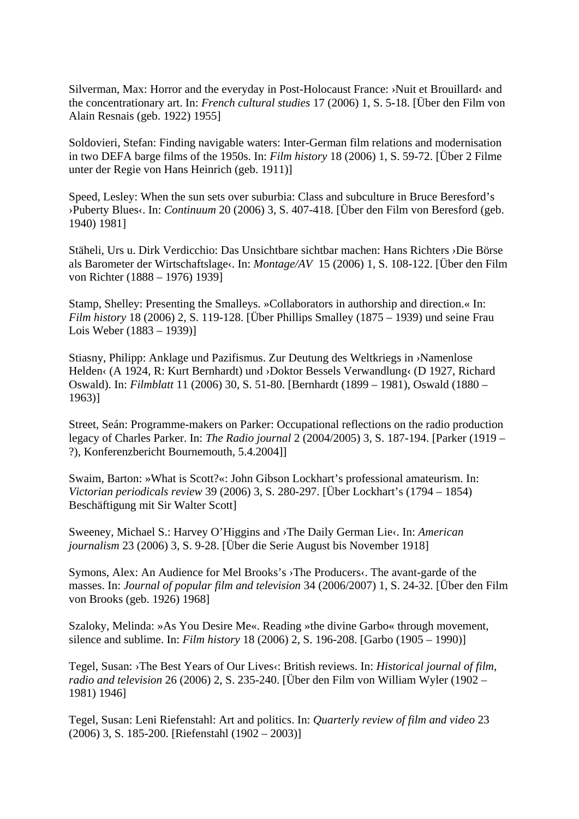Silverman, Max: Horror and the everyday in Post-Holocaust France: ›Nuit et Brouillard‹ and the concentrationary art. In: *French cultural studies* 17 (2006) 1, S. 5-18. [Über den Film von Alain Resnais (geb. 1922) 1955]

Soldovieri, Stefan: Finding navigable waters: Inter-German film relations and modernisation in two DEFA barge films of the 1950s. In: *Film history* 18 (2006) 1, S. 59-72. [Über 2 Filme unter der Regie von Hans Heinrich (geb. 1911)]

Speed, Lesley: When the sun sets over suburbia: Class and subculture in Bruce Beresford's ›Puberty Blues‹. In: *Continuum* 20 (2006) 3, S. 407-418. [Über den Film von Beresford (geb. 1940) 1981]

Stäheli, Urs u. Dirk Verdicchio: Das Unsichtbare sichtbar machen: Hans Richters ›Die Börse als Barometer der Wirtschaftslage‹. In: *Montage/AV* 15 (2006) 1, S. 108-122. [Über den Film von Richter (1888 – 1976) 1939]

Stamp, Shelley: Presenting the Smalleys. »Collaborators in authorship and direction.« In: *Film history* 18 (2006) 2, S. 119-128. [Über Phillips Smalley (1875 – 1939) und seine Frau Lois Weber (1883 – 1939)]

Stiasny, Philipp: Anklage und Pazifismus. Zur Deutung des Weltkriegs in ›Namenlose Helden< (A 1924, R: Kurt Bernhardt) und >Doktor Bessels Verwandlung< (D 1927, Richard Oswald). In: *Filmblatt* 11 (2006) 30, S. 51-80. [Bernhardt (1899 – 1981), Oswald (1880 – 1963)]

Street, Seán: Programme-makers on Parker: Occupational reflections on the radio production legacy of Charles Parker. In: *The Radio journal* 2 (2004/2005) 3, S. 187-194. [Parker (1919 – ?), Konferenzbericht Bournemouth, 5.4.2004]]

Swaim, Barton: »What is Scott?«: John Gibson Lockhart's professional amateurism. In: *Victorian periodicals review* 39 (2006) 3, S. 280-297. [Über Lockhart's (1794 – 1854) Beschäftigung mit Sir Walter Scott]

Sweeney, Michael S.: Harvey O'Higgins and ›The Daily German Lie‹. In: *American journalism* 23 (2006) 3, S. 9-28. [Über die Serie August bis November 1918]

Symons, Alex: An Audience for Mel Brooks's ›The Producers‹. The avant-garde of the masses. In: *Journal of popular film and television* 34 (2006/2007) 1, S. 24-32. [Über den Film von Brooks (geb. 1926) 1968]

Szaloky, Melinda: »As You Desire Me«. Reading »the divine Garbo« through movement, silence and sublime. In: *Film history* 18 (2006) 2, S. 196-208. [Garbo (1905 – 1990)]

Tegel, Susan: >The Best Years of Our Lives<: British reviews. In: *Historical journal of film, radio and television* 26 (2006) 2, S. 235-240. [Über den Film von William Wyler (1902 – 1981) 1946]

Tegel, Susan: Leni Riefenstahl: Art and politics. In: *Quarterly review of film and video* 23 (2006) 3, S. 185-200. [Riefenstahl (1902 – 2003)]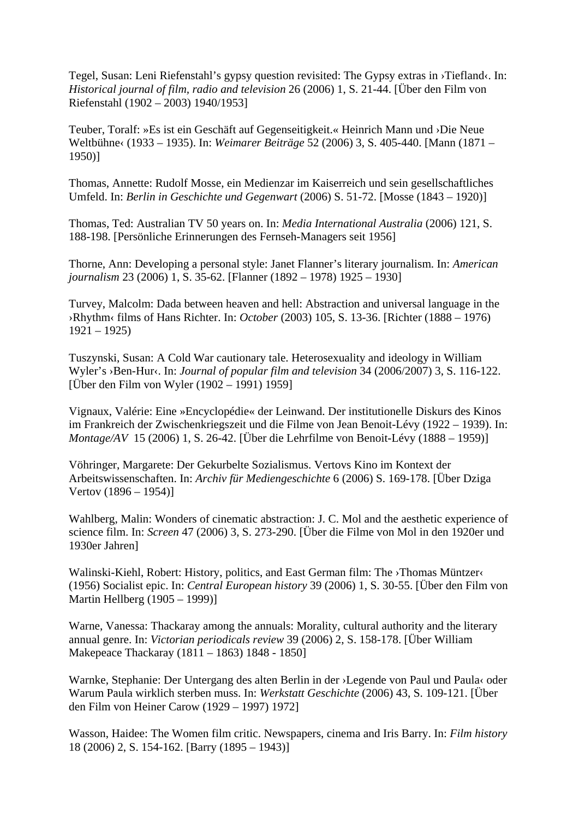Tegel, Susan: Leni Riefenstahl's gypsy question revisited: The Gypsy extras in ›Tiefland‹. In: *Historical journal of film, radio and television* 26 (2006) 1, S. 21-44. [Über den Film von Riefenstahl (1902 – 2003) 1940/1953]

Teuber, Toralf: »Es ist ein Geschäft auf Gegenseitigkeit.« Heinrich Mann und ›Die Neue Weltbühne‹ (1933 – 1935). In: *Weimarer Beiträge* 52 (2006) 3, S. 405-440. [Mann (1871 – 1950)]

Thomas, Annette: Rudolf Mosse, ein Medienzar im Kaiserreich und sein gesellschaftliches Umfeld. In: *Berlin in Geschichte und Gegenwart* (2006) S. 51-72. [Mosse (1843 – 1920)]

Thomas, Ted: Australian TV 50 years on. In: *Media International Australia* (2006) 121, S. 188-198. [Persönliche Erinnerungen des Fernseh-Managers seit 1956]

Thorne, Ann: Developing a personal style: Janet Flanner's literary journalism. In: *American journalism* 23 (2006) 1, S. 35-62. [Flanner (1892 – 1978) 1925 – 1930]

Turvey, Malcolm: Dada between heaven and hell: Abstraction and universal language in the ›Rhythm‹ films of Hans Richter. In: *October* (2003) 105, S. 13-36. [Richter (1888 – 1976) 1921 – 1925)

Tuszynski, Susan: A Cold War cautionary tale. Heterosexuality and ideology in William Wyler's >Ben-Hur<. In: *Journal of popular film and television* 34 (2006/2007) 3, S. 116-122. [Über den Film von Wyler (1902 – 1991) 1959]

Vignaux, Valérie: Eine »Encyclopédie« der Leinwand. Der institutionelle Diskurs des Kinos im Frankreich der Zwischenkriegszeit und die Filme von Jean Benoit-Lévy (1922 – 1939). In: *Montage/AV* 15 (2006) 1, S. 26-42. [Über die Lehrfilme von Benoit-Lévy (1888 – 1959)]

Vöhringer, Margarete: Der Gekurbelte Sozialismus. Vertovs Kino im Kontext der Arbeitswissenschaften. In: *Archiv für Mediengeschichte* 6 (2006) S. 169-178. [Über Dziga Vertov (1896 – 1954)]

Wahlberg, Malin: Wonders of cinematic abstraction: J. C. Mol and the aesthetic experience of science film. In: *Screen* 47 (2006) 3, S. 273-290. [Über die Filme von Mol in den 1920er und 1930er Jahren]

Walinski-Kiehl, Robert: History, politics, and East German film: The ›Thomas Müntzer‹ (1956) Socialist epic. In: *Central European history* 39 (2006) 1, S. 30-55. [Über den Film von Martin Hellberg (1905 – 1999)]

Warne, Vanessa: Thackaray among the annuals: Morality, cultural authority and the literary annual genre. In: *Victorian periodicals review* 39 (2006) 2, S. 158-178. [Über William Makepeace Thackaray (1811 – 1863) 1848 - 1850]

Warnke, Stephanie: Der Untergang des alten Berlin in der ›Legende von Paul und Paula‹ oder Warum Paula wirklich sterben muss. In: *Werkstatt Geschichte* (2006) 43, S. 109-121. [Über den Film von Heiner Carow (1929 – 1997) 1972]

Wasson, Haidee: The Women film critic. Newspapers, cinema and Iris Barry. In: *Film history* 18 (2006) 2, S. 154-162. [Barry (1895 – 1943)]